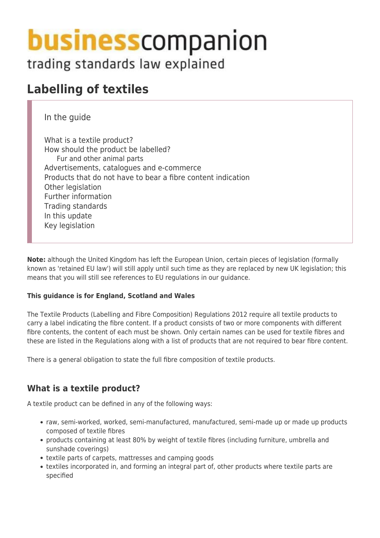# **business** companion

trading standards law explained

# **Labelling of textiles**

In the guide

What is a textile product? How should the product be labelled? Fur and other animal parts Advertisements, catalogues and e-commerce Products that do not have to bear a fibre content indication Other legislation Further information Trading standards In this update Key legislation

**Note:** although the United Kingdom has left the European Union, certain pieces of legislation (formally known as 'retained EU law') will still apply until such time as they are replaced by new UK legislation; this means that you will still see references to EU regulations in our guidance.

#### **This guidance is for England, Scotland and Wales**

The Textile Products (Labelling and Fibre Composition) Regulations 2012 require all textile products to carry a label indicating the fibre content. If a product consists of two or more components with different fibre contents, the content of each must be shown. Only certain names can be used for textile fibres and these are listed in the Regulations along with a list of products that are not required to bear fibre content.

There is a general obligation to state the full fibre composition of textile products.

# **What is a textile product?**

A textile product can be defined in any of the following ways:

- raw, semi-worked, worked, semi-manufactured, manufactured, semi-made up or made up products composed of textile fibres
- products containing at least 80% by weight of textile fibres (including furniture, umbrella and sunshade coverings)
- textile parts of carpets, mattresses and camping goods
- textiles incorporated in, and forming an integral part of, other products where textile parts are specified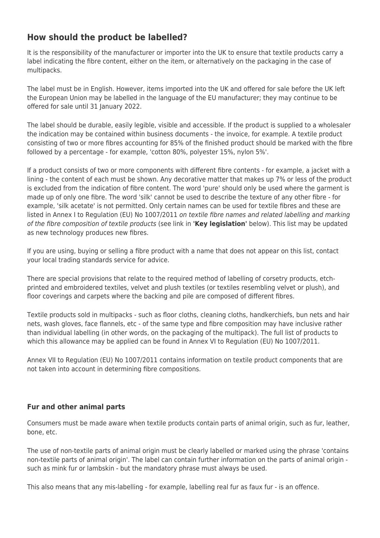## **How should the product be labelled?**

It is the responsibility of the manufacturer or importer into the UK to ensure that textile products carry a label indicating the fibre content, either on the item, or alternatively on the packaging in the case of multipacks.

The label must be in English. However, items imported into the UK and offered for sale before the UK left the European Union may be labelled in the language of the EU manufacturer; they may continue to be offered for sale until 31 January 2022.

The label should be durable, easily legible, visible and accessible. If the product is supplied to a wholesaler the indication may be contained within business documents - the invoice, for example. A textile product consisting of two or more fibres accounting for 85% of the finished product should be marked with the fibre followed by a percentage - for example, 'cotton 80%, polyester 15%, nylon 5%'.

If a product consists of two or more components with different fibre contents - for example, a jacket with a lining - the content of each must be shown. Any decorative matter that makes up 7% or less of the product is excluded from the indication of fibre content. The word 'pure' should only be used where the garment is made up of only one fibre. The word 'silk' cannot be used to describe the texture of any other fibre - for example, 'silk acetate' is not permitted. Only certain names can be used for textile fibres and these are listed in Annex I to Regulation (EU) No 1007/2011 on textile fibre names and related labelling and marking of the fibre composition of textile products (see link in **'Key legislation'** below). This list may be updated as new technology produces new fibres.

If you are using, buying or selling a fibre product with a name that does not appear on this list, contact your local trading standards service for advice.

There are special provisions that relate to the required method of labelling of corsetry products, etchprinted and embroidered textiles, velvet and plush textiles (or textiles resembling velvet or plush), and floor coverings and carpets where the backing and pile are composed of different fibres.

Textile products sold in multipacks - such as floor cloths, cleaning cloths, handkerchiefs, bun nets and hair nets, wash gloves, face flannels, etc - of the same type and fibre composition may have inclusive rather than individual labelling (in other words, on the packaging of the multipack). The full list of products to which this allowance may be applied can be found in Annex VI to Regulation (EU) No 1007/2011.

Annex VII to Regulation (EU) No 1007/2011 contains information on textile product components that are not taken into account in determining fibre compositions.

#### **Fur and other animal parts**

Consumers must be made aware when textile products contain parts of animal origin, such as fur, leather, bone, etc.

The use of non-textile parts of animal origin must be clearly labelled or marked using the phrase 'contains non-textile parts of animal origin'. The label can contain further information on the parts of animal origin such as mink fur or lambskin - but the mandatory phrase must always be used.

This also means that any mis-labelling - for example, labelling real fur as faux fur - is an offence.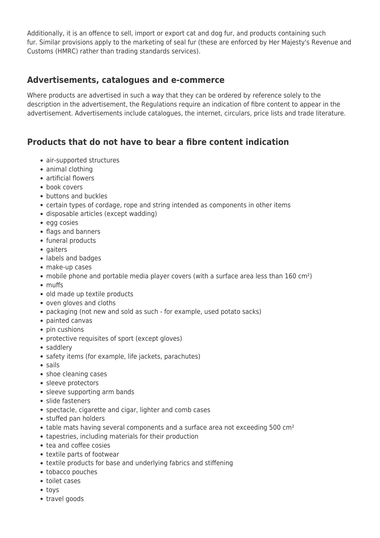Additionally, it is an offence to sell, import or export cat and dog fur, and products containing such fur. Similar provisions apply to the marketing of seal fur (these are enforced by Her Majesty's Revenue and Customs (HMRC) rather than trading standards services).

#### **Advertisements, catalogues and e-commerce**

Where products are advertised in such a way that they can be ordered by reference solely to the description in the advertisement, the Regulations require an indication of fibre content to appear in the advertisement. Advertisements include catalogues, the internet, circulars, price lists and trade literature.

# **Products that do not have to bear a fibre content indication**

- air-supported structures
- animal clothing
- artificial flowers
- book covers
- buttons and buckles
- certain types of cordage, rope and string intended as components in other items
- disposable articles (except wadding)
- egg cosies
- flags and banners
- funeral products
- gaiters
- labels and badges
- make-up cases
- mobile phone and portable media player covers (with a surface area less than 160 cm<sup>2</sup>)
- muffs
- old made up textile products
- oven gloves and cloths
- packaging (not new and sold as such for example, used potato sacks)
- painted canvas
- pin cushions
- protective requisites of sport (except gloves)
- saddlery
- safety items (for example, life jackets, parachutes)
- sails
- shoe cleaning cases
- sleeve protectors
- sleeve supporting arm bands
- slide fasteners
- spectacle, cigarette and cigar, lighter and comb cases
- stuffed pan holders
- table mats having several components and a surface area not exceeding 500 cm<sup>2</sup>
- tapestries, including materials for their production
- tea and coffee cosies
- textile parts of footwear
- textile products for base and underlying fabrics and stiffening
- tobacco pouches
- toilet cases
- toys
- travel goods